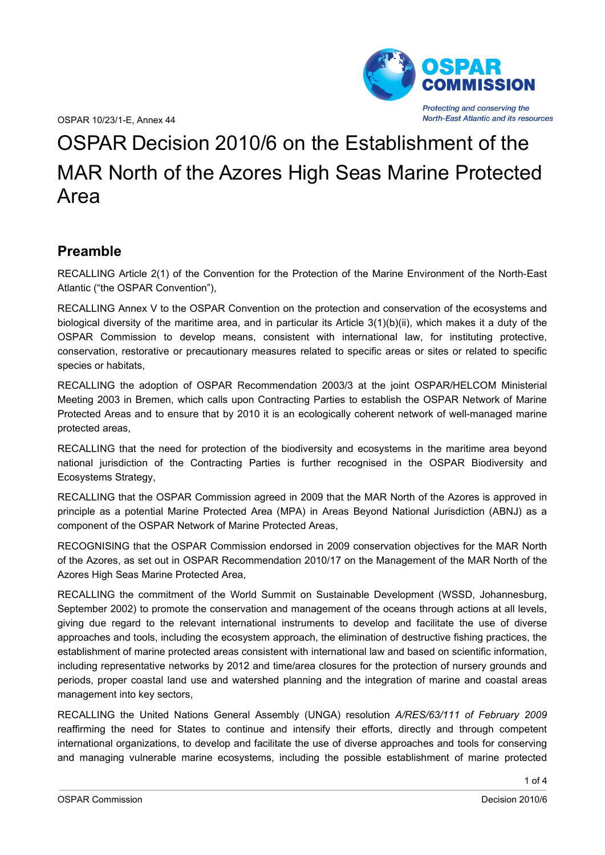OSPAR 10/23/1-E, Annex 44



# OSPAR Decision 2010/6 on the Establishment of the MAR North of the Azores High Seas Marine Protected Area

## **Preamble**

RECALLING Article 2(1) of the Convention for the Protection of the Marine Environment of the North-East Atlantic ("the OSPAR Convention"),

RECALLING Annex V to the OSPAR Convention on the protection and conservation of the ecosystems and biological diversity of the maritime area, and in particular its Article 3(1)(b)(ii), which makes it a duty of the OSPAR Commission to develop means, consistent with international law, for instituting protective, conservation, restorative or precautionary measures related to specific areas or sites or related to specific species or habitats,

RECALLING the adoption of OSPAR Recommendation 2003/3 at the joint OSPAR/HELCOM Ministerial Meeting 2003 in Bremen, which calls upon Contracting Parties to establish the OSPAR Network of Marine Protected Areas and to ensure that by 2010 it is an ecologically coherent network of well-managed marine protected areas,

RECALLING that the need for protection of the biodiversity and ecosystems in the maritime area beyond national jurisdiction of the Contracting Parties is further recognised in the OSPAR Biodiversity and Ecosystems Strategy,

RECALLING that the OSPAR Commission agreed in 2009 that the MAR North of the Azores is approved in principle as a potential Marine Protected Area (MPA) in Areas Beyond National Jurisdiction (ABNJ) as a component of the OSPAR Network of Marine Protected Areas,

RECOGNISING that the OSPAR Commission endorsed in 2009 conservation objectives for the MAR North of the Azores, as set out in OSPAR Recommendation 2010/17 on the Management of the MAR North of the Azores High Seas Marine Protected Area,

RECALLING the commitment of the World Summit on Sustainable Development (WSSD, Johannesburg, September 2002) to promote the conservation and management of the oceans through actions at all levels, giving due regard to the relevant international instruments to develop and facilitate the use of diverse approaches and tools, including the ecosystem approach, the elimination of destructive fishing practices, the establishment of marine protected areas consistent with international law and based on scientific information, including representative networks by 2012 and time/area closures for the protection of nursery grounds and periods, proper coastal land use and watershed planning and the integration of marine and coastal areas management into key sectors,

RECALLING the United Nations General Assembly (UNGA) resolution *A/RES/63/111 of February 2009* reaffirming the need for States to continue and intensify their efforts, directly and through competent international organizations, to develop and facilitate the use of diverse approaches and tools for conserving and managing vulnerable marine ecosystems, including the possible establishment of marine protected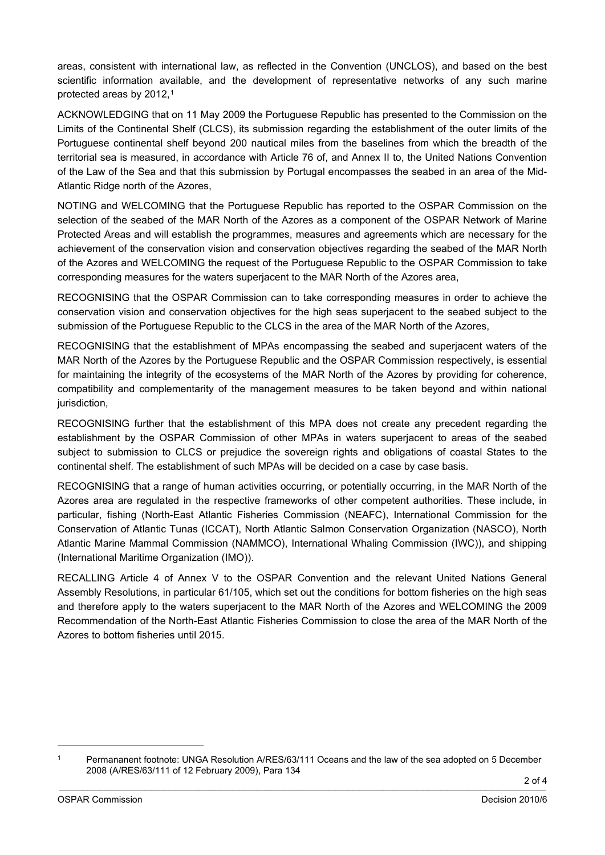areas, consistent with international law, as reflected in the Convention (UNCLOS), and based on the best scientific information available, and the development of representative networks of any such marine protected areas by 20[1](#page-1-0)2,<sup>1</sup>

ACKNOWLEDGING that on 11 May 2009 the Portuguese Republic has presented to the Commission on the Limits of the Continental Shelf (CLCS), its submission regarding the establishment of the outer limits of the Portuguese continental shelf beyond 200 nautical miles from the baselines from which the breadth of the territorial sea is measured, in accordance with Article 76 of, and Annex II to, the United Nations Convention of the Law of the Sea and that this submission by Portugal encompasses the seabed in an area of the Mid-Atlantic Ridge north of the Azores,

NOTING and WELCOMING that the Portuguese Republic has reported to the OSPAR Commission on the selection of the seabed of the MAR North of the Azores as a component of the OSPAR Network of Marine Protected Areas and will establish the programmes, measures and agreements which are necessary for the achievement of the conservation vision and conservation objectives regarding the seabed of the MAR North of the Azores and WELCOMING the request of the Portuguese Republic to the OSPAR Commission to take corresponding measures for the waters superjacent to the MAR North of the Azores area,

RECOGNISING that the OSPAR Commission can to take corresponding measures in order to achieve the conservation vision and conservation objectives for the high seas superjacent to the seabed subject to the submission of the Portuguese Republic to the CLCS in the area of the MAR North of the Azores,

RECOGNISING that the establishment of MPAs encompassing the seabed and superjacent waters of the MAR North of the Azores by the Portuguese Republic and the OSPAR Commission respectively, is essential for maintaining the integrity of the ecosystems of the MAR North of the Azores by providing for coherence, compatibility and complementarity of the management measures to be taken beyond and within national jurisdiction,

RECOGNISING further that the establishment of this MPA does not create any precedent regarding the establishment by the OSPAR Commission of other MPAs in waters superjacent to areas of the seabed subject to submission to CLCS or prejudice the sovereign rights and obligations of coastal States to the continental shelf. The establishment of such MPAs will be decided on a case by case basis.

RECOGNISING that a range of human activities occurring, or potentially occurring, in the MAR North of the Azores area are regulated in the respective frameworks of other competent authorities. These include, in particular, fishing (North-East Atlantic Fisheries Commission (NEAFC), International Commission for the Conservation of Atlantic Tunas (ICCAT), North Atlantic Salmon Conservation Organization (NASCO), North Atlantic Marine Mammal Commission (NAMMCO), International Whaling Commission (IWC)), and shipping (International Maritime Organization (IMO)).

RECALLING Article 4 of Annex V to the OSPAR Convention and the relevant United Nations General Assembly Resolutions, in particular 61/105, which set out the conditions for bottom fisheries on the high seas and therefore apply to the waters superjacent to the MAR North of the Azores and WELCOMING the 2009 Recommendation of the North-East Atlantic Fisheries Commission to close the area of the MAR North of the Azores to bottom fisheries until 2015.

<span id="page-1-0"></span><sup>&</sup>lt;sup>1</sup> Permananent footnote: UNGA Resolution A/RES/63/111 Oceans and the law of the sea adopted on 5 December 2008 (A/RES/63/111 of 12 February 2009), Para 134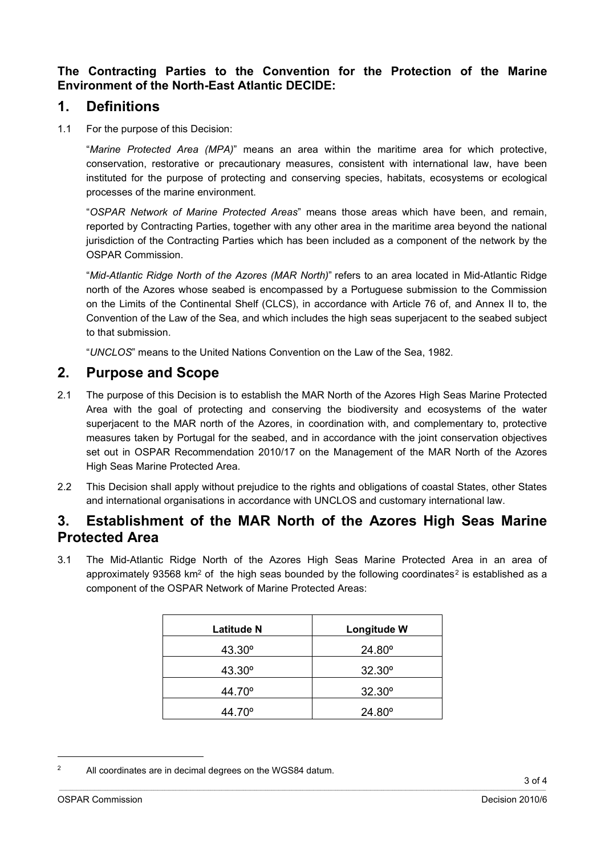**The Contracting Parties to the Convention for the Protection of the Marine Environment of the North-East Atlantic DECIDE:**

#### **1. Definitions**

1.1 For the purpose of this Decision:

"*Marine Protected Area (MPA)*" means an area within the maritime area for which protective, conservation, restorative or precautionary measures, consistent with international law, have been instituted for the purpose of protecting and conserving species, habitats, ecosystems or ecological processes of the marine environment.

"*OSPAR Network of Marine Protected Areas*" means those areas which have been, and remain, reported by Contracting Parties, together with any other area in the maritime area beyond the national jurisdiction of the Contracting Parties which has been included as a component of the network by the OSPAR Commission.

"*Mid-Atlantic Ridge North of the Azores (MAR North)*" refers to an area located in Mid-Atlantic Ridge north of the Azores whose seabed is encompassed by a Portuguese submission to the Commission on the Limits of the Continental Shelf (CLCS), in accordance with Article 76 of, and Annex II to, the Convention of the Law of the Sea, and which includes the high seas superjacent to the seabed subject to that submission.

"*UNCLOS*" means to the United Nations Convention on the Law of the Sea, 1982.

### **2. Purpose and Scope**

- 2.1 The purpose of this Decision is to establish the MAR North of the Azores High Seas Marine Protected Area with the goal of protecting and conserving the biodiversity and ecosystems of the water superjacent to the MAR north of the Azores, in coordination with, and complementary to, protective measures taken by Portugal for the seabed, and in accordance with the joint conservation objectives set out in OSPAR Recommendation 2010/17 on the Management of the MAR North of the Azores High Seas Marine Protected Area.
- 2.2 This Decision shall apply without prejudice to the rights and obligations of coastal States, other States and international organisations in accordance with UNCLOS and customary international law.

### **3. Establishment of the MAR North of the Azores High Seas Marine Protected Area**

3.1 The Mid-Atlantic Ridge North of the Azores High Seas Marine Protected Area in an area of approximately 93568 km<sup>[2](#page-2-0)</sup> of the high seas bounded by the following coordinates<sup>2</sup> is established as a component of the OSPAR Network of Marine Protected Areas:

| Latitude N      | Longitude W     |
|-----------------|-----------------|
| $43.30^{\circ}$ | $24.80^{\circ}$ |
| $43.30^{\circ}$ | $32.30^{\circ}$ |
| 44.70°          | $32.30^{\circ}$ |
| 44.70°          | $24.80^{\circ}$ |

<span id="page-2-0"></span><sup>&</sup>lt;sup>2</sup> All coordinates are in decimal degrees on the WGS84 datum.